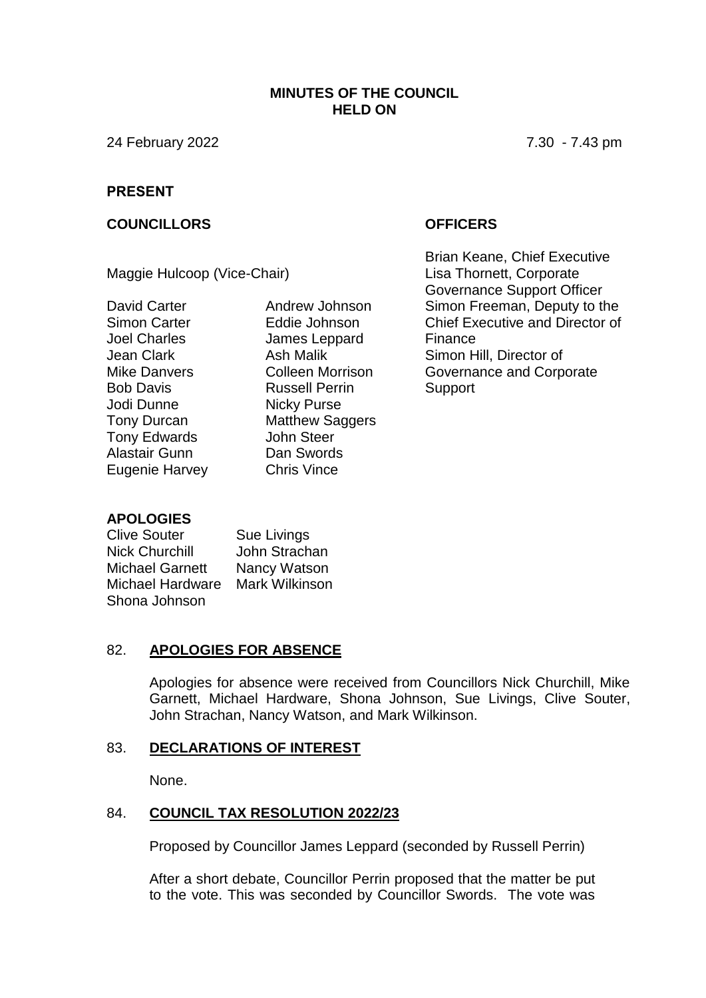#### **MINUTES OF THE COUNCIL HELD ON**

24 February 2022 7.30 - 7.43 pm

#### **PRESENT**

#### **COUNCILLORS OFFICERS**

Maggie Hulcoop (Vice-Chair)

David Carter Simon Carter Joel Charles Jean Clark Mike Danvers Bob Davis Jodi Dunne Tony Durcan Tony Edwards Alastair Gunn Eugenie Harvey Andrew Johnson Eddie Johnson James Leppard Ash Malik Colleen Morrison Russell Perrin Nicky Purse Matthew Saggers John Steer Dan Swords Chris Vince

Brian Keane, Chief Executive Lisa Thornett, Corporate Governance Support Officer Simon Freeman, Deputy to the Chief Executive and Director of Finance Simon Hill, Director of Governance and Corporate **Support** 

## **APOLOGIES**

Clive Souter Nick Churchill Michael Garnett Michael Hardware Mark Wilkinson Shona Johnson Sue Livings John Strachan Nancy Watson

## 82. **APOLOGIES FOR ABSENCE**

Apologies for absence were received from Councillors Nick Churchill, Mike Garnett, Michael Hardware, Shona Johnson, Sue Livings, Clive Souter, John Strachan, Nancy Watson, and Mark Wilkinson.

#### 83. **DECLARATIONS OF INTEREST**

None.

### 84. **COUNCIL TAX RESOLUTION 2022/23**

Proposed by Councillor James Leppard (seconded by Russell Perrin)

After a short debate, Councillor Perrin proposed that the matter be put to the vote. This was seconded by Councillor Swords. The vote was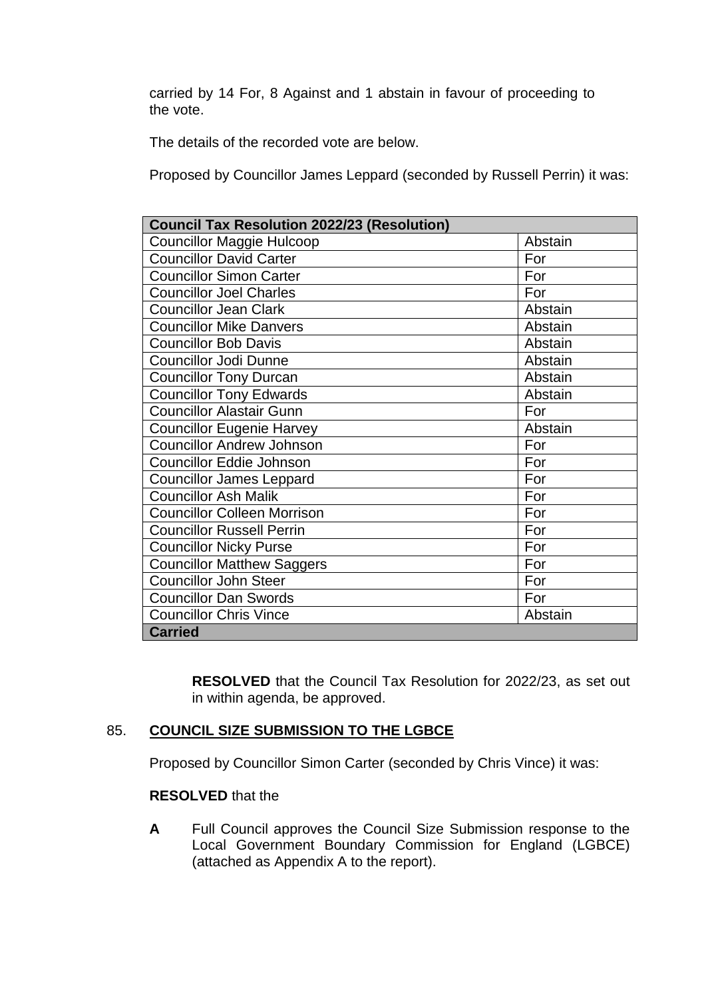carried by 14 For, 8 Against and 1 abstain in favour of proceeding to the vote.

The details of the recorded vote are below.

Proposed by Councillor James Leppard (seconded by Russell Perrin) it was:

| <b>Council Tax Resolution 2022/23 (Resolution)</b> |         |
|----------------------------------------------------|---------|
| <b>Councillor Maggie Hulcoop</b>                   | Abstain |
| <b>Councillor David Carter</b>                     | For     |
| <b>Councillor Simon Carter</b>                     | For     |
| <b>Councillor Joel Charles</b>                     | For     |
| <b>Councillor Jean Clark</b>                       | Abstain |
| <b>Councillor Mike Danvers</b>                     | Abstain |
| <b>Councillor Bob Davis</b>                        | Abstain |
| <b>Councillor Jodi Dunne</b>                       | Abstain |
| <b>Councillor Tony Durcan</b>                      | Abstain |
| <b>Councillor Tony Edwards</b>                     | Abstain |
| <b>Councillor Alastair Gunn</b>                    | For     |
| <b>Councillor Eugenie Harvey</b>                   | Abstain |
| <b>Councillor Andrew Johnson</b>                   | For     |
| <b>Councillor Eddie Johnson</b>                    | For     |
| <b>Councillor James Leppard</b>                    | For     |
| <b>Councillor Ash Malik</b>                        | For     |
| <b>Councillor Colleen Morrison</b>                 | For     |
| <b>Councillor Russell Perrin</b>                   | For     |
| <b>Councillor Nicky Purse</b>                      | For     |
| <b>Councillor Matthew Saggers</b>                  | For     |
| <b>Councillor John Steer</b>                       | For     |
| <b>Councillor Dan Swords</b>                       | For     |
| <b>Councillor Chris Vince</b>                      | Abstain |
| <b>Carried</b>                                     |         |

**RESOLVED** that the Council Tax Resolution for 2022/23, as set out in within agenda, be approved.

## 85. **COUNCIL SIZE SUBMISSION TO THE LGBCE**

Proposed by Councillor Simon Carter (seconded by Chris Vince) it was:

## **RESOLVED** that the

**A** Full Council approves the Council Size Submission response to the Local Government Boundary Commission for England (LGBCE) (attached as Appendix A to the report).